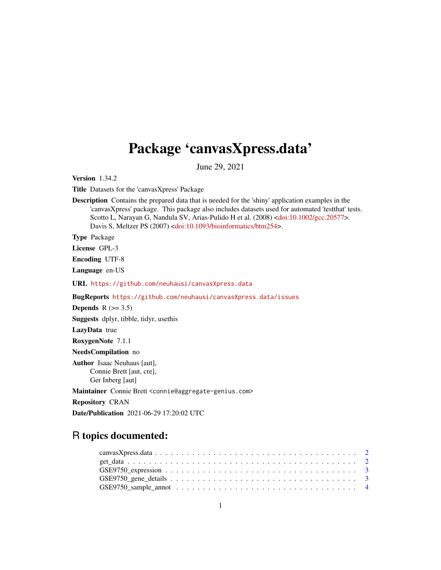## Package 'canvasXpress.data'

June 29, 2021

Version 1.34.2

Title Datasets for the 'canvasXpress' Package

Description Contains the prepared data that is needed for the 'shiny' application examples in the 'canvasXpress' package. This package also includes datasets used for automated 'testthat' tests. Scotto L, Narayan G, Nandula SV, Arias-Pulido H et al. (2008) [<doi:10.1002/gcc.20577>](https://doi.org/10.1002/gcc.20577). Davis S, Meltzer PS (2007) [<doi:10.1093/bioinformatics/btm254>](https://doi.org/10.1093/bioinformatics/btm254).

Type Package

License GPL-3

Encoding UTF-8

Language en-US

URL <https://github.com/neuhausi/canvasXpress.data>

BugReports <https://github.com/neuhausi/canvasXpress.data/issues>

Depends  $R$  ( $>= 3.5$ )

Suggests dplyr, tibble, tidyr, usethis

LazyData true

RoxygenNote 7.1.1

NeedsCompilation no

Author Isaac Neuhaus [aut], Connie Brett [aut, cre], Ger Inberg [aut]

Maintainer Connie Brett <connie@aggregate-genius.com>

Repository CRAN

Date/Publication 2021-06-29 17:20:02 UTC

### R topics documented: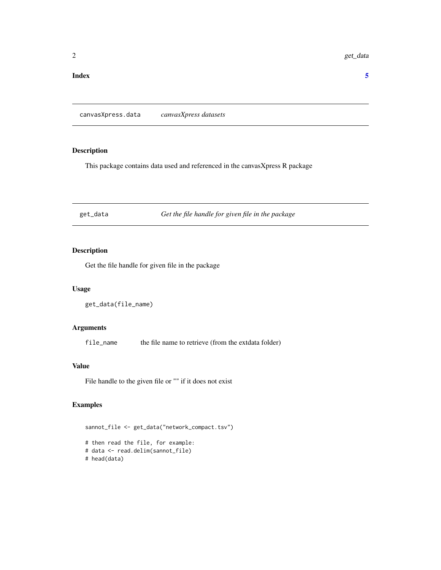#### <span id="page-1-0"></span>**Index** [5](#page-4-0). The second state of the second state of the second state of the second state of the second state of the second state of the second state of the second state of the second state of the second state of the second

canvasXpress.data *canvasXpress datasets*

#### Description

This package contains data used and referenced in the canvasXpress R package

get\_data *Get the file handle for given file in the package*

#### Description

Get the file handle for given file in the package

#### Usage

get\_data(file\_name)

#### Arguments

file\_name the file name to retrieve (from the extdata folder)

#### Value

File handle to the given file or "" if it does not exist

#### Examples

```
sannot_file <- get_data("network_compact.tsv")
# then read the file, for example:
# data <- read.delim(sannot_file)
# head(data)
```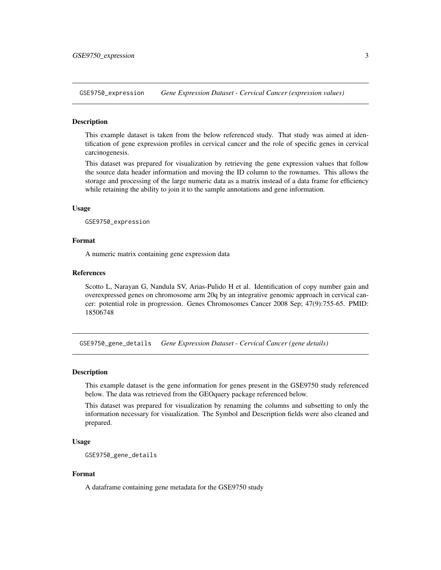<span id="page-2-0"></span>GSE9750\_expression *Gene Expression Dataset - Cervical Cancer (expression values)*

#### **Description**

This example dataset is taken from the below referenced study. That study was aimed at identification of gene expression profiles in cervical cancer and the role of specific genes in cervical carcinogenesis.

This dataset was prepared for visualization by retrieving the gene expression values that follow the source data header information and moving the ID column to the rownames. This allows the storage and processing of the large numeric data as a matrix instead of a data frame for efficiency while retaining the ability to join it to the sample annotations and gene information.

#### Usage

GSE9750\_expression

#### Format

A numeric matrix containing gene expression data

#### References

Scotto L, Narayan G, Nandula SV, Arias-Pulido H et al. Identification of copy number gain and overexpressed genes on chromosome arm 20q by an integrative genomic approach in cervical cancer: potential role in progression. Genes Chromosomes Cancer 2008 Sep; 47(9):755-65. PMID: 18506748

GSE9750\_gene\_details *Gene Expression Dataset - Cervical Cancer (gene details)*

#### Description

This example dataset is the gene information for genes present in the GSE9750 study referenced below. The data was retrieved from the GEOquery package referenced below.

This dataset was prepared for visualization by renaming the columns and subsetting to only the information necessary for visualization. The Symbol and Description fields were also cleaned and prepared.

#### Usage

```
GSE9750_gene_details
```
#### Format

A dataframe containing gene metadata for the GSE9750 study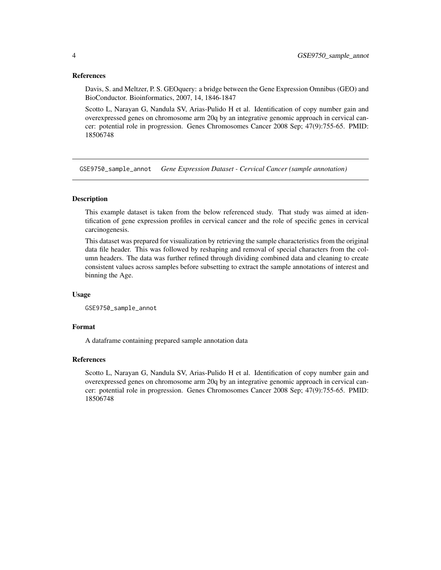#### References

Davis, S. and Meltzer, P. S. GEOquery: a bridge between the Gene Expression Omnibus (GEO) and BioConductor. Bioinformatics, 2007, 14, 1846-1847

Scotto L, Narayan G, Nandula SV, Arias-Pulido H et al. Identification of copy number gain and overexpressed genes on chromosome arm 20q by an integrative genomic approach in cervical cancer: potential role in progression. Genes Chromosomes Cancer 2008 Sep; 47(9):755-65. PMID: 18506748

GSE9750\_sample\_annot *Gene Expression Dataset - Cervical Cancer (sample annotation)*

#### Description

This example dataset is taken from the below referenced study. That study was aimed at identification of gene expression profiles in cervical cancer and the role of specific genes in cervical carcinogenesis.

This dataset was prepared for visualization by retrieving the sample characteristics from the original data file header. This was followed by reshaping and removal of special characters from the column headers. The data was further refined through dividing combined data and cleaning to create consistent values across samples before subsetting to extract the sample annotations of interest and binning the Age.

#### Usage

GSE9750\_sample\_annot

#### Format

A dataframe containing prepared sample annotation data

#### References

Scotto L, Narayan G, Nandula SV, Arias-Pulido H et al. Identification of copy number gain and overexpressed genes on chromosome arm 20q by an integrative genomic approach in cervical cancer: potential role in progression. Genes Chromosomes Cancer 2008 Sep; 47(9):755-65. PMID: 18506748

<span id="page-3-0"></span>